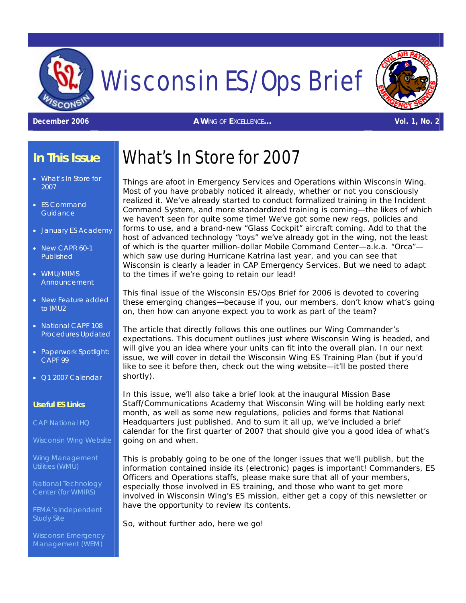

# Wisconsin ES/Ops Brief

**December 2006** *A WING OF EXCELLENCE…* **Vol. 1, No. 2**

### **In This Issue**

- What's In Store for 2007
- ES Command **Guidance**
- January ES Academy
- New CAPR 60-1 Published
- WMU/MIMS Announcement
- New Feature added to IMU2
- National CAPF 108 Procedures Updated
- Paperwork Spotlight: CAPF 99
- Q1 2007 Calendar

#### **Useful ES Links**

[CAP National](http://level2.cap.gov/f) HQ

[Wisconsin Wing Website](http://www.wiwgcap.org/)

[Wing Management](http://wmu.nat.cap.gov/) [Utilities \(WMU\)](http://wmu.nat.cap.gov/)

[National Technology](https://ntc.cap.af.mil/login.htm)  [Center \(for WMIRS\)](https://ntc.cap.af.mil/login.htm)

[FEMA's Independent](http://training.fema.gov/EMIWeb/IS/crslist.asp) [Study Site](http://training.fema.gov/EMIWeb/IS/crslist.asp) 

[Wisconsin Emergency](http://emergencymanagement.wi.gov/)  [Management \(WEM\)](http://emergencymanagement.wi.gov/)

## What's In Store for 2007

Things are afoot in Emergency Services and Operations within Wisconsin Wing. Most of you have probably noticed it already, whether or not you consciously realized it. We've already started to conduct formalized training in the Incident Command System, and more standardized training is coming—the likes of which we haven't seen for quite some time! We've got some new regs, policies and forms to use, and a brand-new "Glass Cockpit" aircraft coming. Add to that the host of advanced technology "toys" we've already got in the wing, not the least of which is the quarter million-dollar Mobile Command Center—a.k.a. "Orca" which saw use during Hurricane Katrina last year, and you can see that Wisconsin is clearly a leader in CAP Emergency Services. But we need to adapt to the times if we're going to retain our lead!

This final issue of the Wisconsin ES/Ops Brief for 2006 is devoted to covering these emerging changes—because if you, our members, don't know what's going on, then how can anyone expect you to work as part of the team?

The article that directly follows this one outlines our Wing Commander's expectations. This document outlines just where Wisconsin Wing is headed, and will give you an idea where your units can fit into the overall plan. In our next issue, we will cover in detail the Wisconsin Wing ES Training Plan (but if you'd like to see it before then, check out the wing website—it'll be posted there shortly).

In this issue, we'll also take a brief look at the inaugural Mission Base Staff/Communications Academy that Wisconsin Wing will be holding early next month, as well as some new regulations, policies and forms that National Headquarters just published. And to sum it all up, we've included a brief calendar for the first quarter of 2007 that should give you a good idea of what's going on and when.

This is probably going to be one of the longer issues that we'll publish, but the information contained inside its (electronic) pages is important! Commanders, ES Officers and Operations staffs, please make sure that all of your members, especially those involved in ES training, and those who want to get more involved in Wisconsin Wing's ES mission, either get a copy of this newsletter or have the opportunity to review its contents.

So, without further ado, here we go!

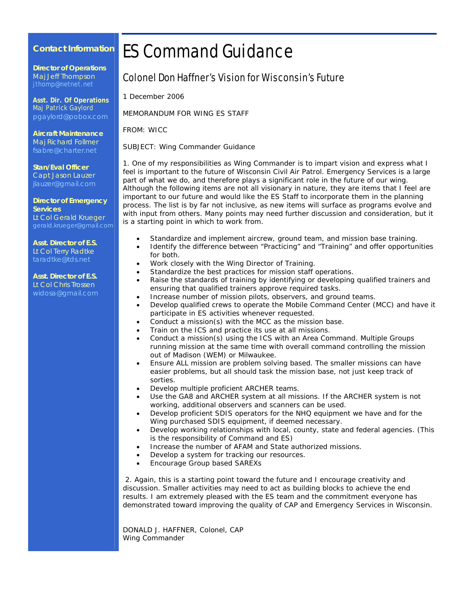#### **Contact Information**

**Director of Operations**  Maj Jeff Thompson [jthomp@netnet.net](mailto:jthomp@netnet.net)

**Asst. Dir. Of Operations**  Maj Patrick Gaylord [pgaylord@pobox.com](mailto:pgaylord@pobox.com)

**Aircraft Maintenance** Maj Richard Follmer [fsabre@charter.net](mailto:fsabre@charter.net)

**Stan/Eval Officer** Capt Jason Lauzer [jlauzer@gmail.com](mailto:jlauzer@gmail.com)

**Director of Emergency Services** Lt Col Gerald Krueger

**Asst. Director of E.S.** Lt Col Terry Radtke [taradtke@tds.net](mailto:taradtke@tds.net)

**Asst. Director of E.S.** Lt Col Chris Trossen [widosa@gmail.com](mailto:widosa@gmail.com) 

### ES Command Guidance

#### Colonel Don Haffner's Vision for Wisconsin's Future

1 December 2006

MEMORANDUM FOR WING ES STAFF

FROM: WICC

SUBJECT: Wing Commander Guidance

1. One of my responsibilities as Wing Commander is to impart vision and express what I feel is important to the future of Wisconsin Civil Air Patrol. Emergency Services is a large part of what we do, and therefore plays a significant role in the future of our wing. Although the following items are not all visionary in nature, they are items that I feel are important to our future and would like the ES Staff to incorporate them in the planning process. The list is by far not inclusive, as new items will surface as programs evolve and with input from others. Many points may need further discussion and consideration, but it is a starting point in which to work from.

- Standardize and implement aircrew, ground team, and mission base training.
- Identify the difference between "Practicing" and "Training" and offer opportunities for both.
- Work closely with the Wing Director of Training.
- Standardize the best practices for mission staff operations.
- Raise the standards of training by identifying or developing qualified trainers and ensuring that qualified trainers approve required tasks.
- Increase number of mission pilots, observers, and ground teams.
- Develop qualified crews to operate the Mobile Command Center (MCC) and have it participate in ES activities whenever requested.
- Conduct a mission(s) with the MCC as the mission base.
- Train on the ICS and practice its use at all missions.
- Conduct a mission(s) using the ICS with an Area Command. Multiple Groups running mission at the same time with overall command controlling the mission out of Madison (WEM) or Milwaukee.
- Ensure ALL mission are problem solving based. The smaller missions can have easier problems, but all should task the mission base, not just keep track of sorties.
- Develop multiple proficient ARCHER teams.
- Use the GA8 and ARCHER system at all missions. If the ARCHER system is not working, additional observers and scanners can be used.
- Develop proficient SDIS operators for the NHQ equipment we have and for the Wing purchased SDIS equipment, if deemed necessary.
- Develop working relationships with local, county, state and federal agencies. (This is the responsibility of Command and ES)
- Increase the number of AFAM and State authorized missions.
- Develop a system for tracking our resources.
- Encourage Group based SAREXs

 2. Again, this is a starting point toward the future and I encourage creativity and discussion. Smaller activities may need to act as building blocks to achieve the end results. I am extremely pleased with the ES team and the commitment everyone has demonstrated toward improving the quality of CAP and Emergency Services in Wisconsin.

DONALD J. HAFFNER, Colonel, CAP Wing Commander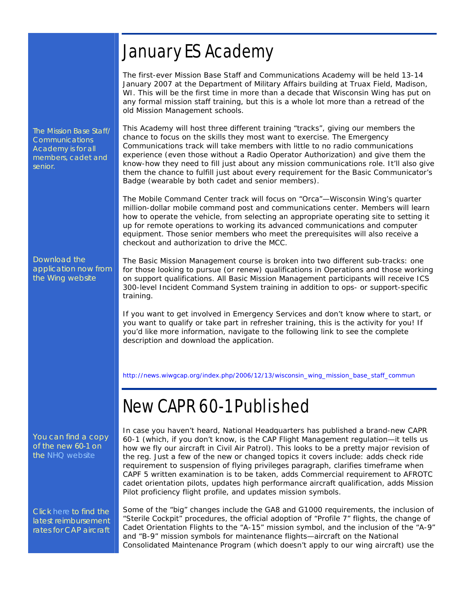### January ES Academy

The first-ever Mission Base Staff and Communications Academy will be held 13-14 January 2007 at the Department of Military Affairs building at Truax Field, Madison, WI. This will be the first time in more than a decade that Wisconsin Wing has put on any formal mission staff training, but this is a whole lot more than a retread of the old Mission Management schools.

The Mission Base Staff/ Communications Academy is for *all* members, cadet and senior.

This Academy will host three different training "tracks", giving our members the chance to focus on the skills they most want to exercise. The Emergency Communications track will take members with little to no radio communications experience (even those without a Radio Operator Authorization) and give them the know-how they need to fill just about any mission communications role. It'll also give them the chance to fulfill just about every requirement for the Basic Communicator's Badge (wearable by both cadet and senior members).

The Mobile Command Center track will focus on "Orca"—Wisconsin Wing's quarter million-dollar mobile command post and communications center. Members will learn how to operate the vehicle, from selecting an appropriate operating site to setting it up for remote operations to working its advanced communications and computer equipment. Those senior members who meet the prerequisites will also receive a checkout and authorization to drive the MCC.

Download the application now from the Wing website

The Basic Mission Management course is broken into two different sub-tracks: one for those looking to pursue (or renew) qualifications in Operations and those working on support qualifications. All Basic Mission Management participants will receive ICS 300-level Incident Command System training in addition to ops- or support-specific training.

If you want to get involved in Emergency Services and don't know where to start, or you want to qualify or take part in refresher training, this is the activity for you! If you'd like more information, navigate to the following link to see the complete description and download the application.

[http://news.wiwgcap.org/index.php/2006/12/13/wisconsin\\_wing\\_mission\\_base\\_staff\\_commun](http://news.wiwgcap.org/index.php/2006/12/13/wisconsin_wing_mission_base_staff_commun)

### New CAPR 60-1 Published

You can find a copy of the new 60-1 on the [NHQ website](http://level2.cap.gov/visitors/member_services/publications/indexes_regulations_and_manuals.cfm)

Click [here](http://level2.cap.gov/documents/acft_reimbursement_hourly_rates.pdf) to find the latest reimbursement rates for CAP aircraft

In case you haven't heard, National Headquarters has published a brand-new CAPR 60-1 (which, if you don't know, is the CAP Flight Management regulation—it tells us how we fly our aircraft in Civil Air Patrol). This looks to be a pretty major revision of the reg. Just a few of the new or changed topics it covers include: adds check ride requirement to suspension of flying privileges paragraph, clarifies timeframe when CAPF 5 written examination is to be taken, adds Commercial requirement to AFROTC cadet orientation pilots, updates high performance aircraft qualification, adds Mission Pilot proficiency flight profile, and updates mission symbols.

Some of the "big" changes include the GA8 and G1000 requirements, the inclusion of "Sterile Cockpit" procedures, the official adoption of "Profile 7" flights, the change of Cadet Orientation Flights to the "A-15" mission symbol, and the inclusion of the "A-9" and "B-9" mission symbols for maintenance flights—aircraft on the National Consolidated Maintenance Program (which doesn't apply to our wing aircraft) use the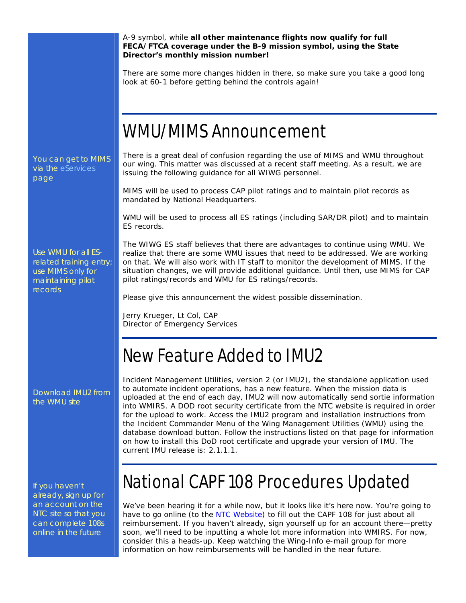

WMU will be used to process all ES ratings (including SAR/DR pilot) and to maintain ES records.

Use WMU for *all* ESrelated training entry; use MIMS *only* for maintaining pilot records

page

The WIWG ES staff believes that there are advantages to continue using WMU. We realize that there are some WMU issues that need to be addressed. We are working on that. We will also work with IT staff to monitor the development of MIMS. If the situation changes, we will provide additional guidance. Until then, use MIMS for CAP pilot ratings/records and WMU for ES ratings/records.

Please give this announcement the widest possible dissemination.

Jerry Krueger, Lt Col, CAP Director of Emergency Services

### New Feature Added to IMU2

Incident Management Utilities, version 2 (or IMU2), the standalone application used to automate incident operations, has a new feature. When the mission data is uploaded at the end of each day, IMU2 will now automatically send sortie information into WMIRS. A DOD root security certificate from the NTC website is required in order for the upload to work. Access the IMU2 program and installation instructions from the Incident Commander Menu of the Wing Management Utilities (WMU) using the database download button. Follow the instructions listed on that page for information on how to install this DoD root certificate and upgrade your version of IMU. The current IMU release is: 2.1.1.1.

### National CAPF 108 Procedures Updated

We've been hearing it for a while now, but it looks like it's here now. You're going to have to go online (to the [NTC Website](https://ntc.cap.af.mil/login.htm)) to fill out the CAPF 108 for just about all reimbursement. If you haven't already, sign yourself up for an account there—pretty soon, we'll need to be inputting a whole lot more information into WMIRS. For now, consider this a heads-up. Keep watching the Wing-Info e-mail group for more information on how reimbursements will be handled in the near future.

#### Download IMU2 from the WMU site

If you haven't already, sign up for an account on the NTC site so that you can complete 108s online in the future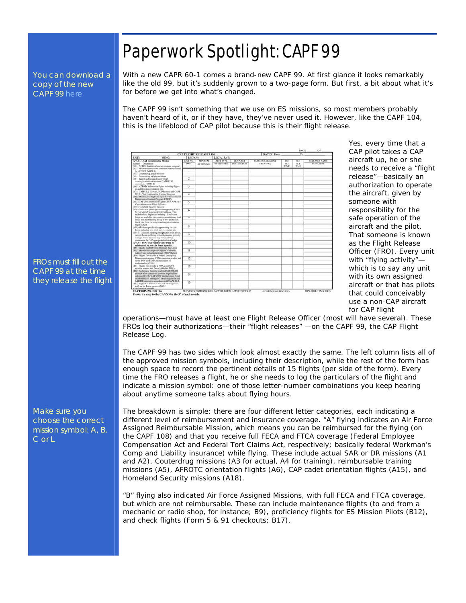### Paperwork Spotlight: CAPF 99

You can download a copy of the new CAPF 99 [here](http://level2.cap.gov/visitors/member_services/publications/forms_word.cfm)

With a new CAPR 60-1 comes a brand-new CAPF 99. At first glance it looks remarkably like the old 99, but it's suddenly grown to a two-page form. But first, a bit about what it's for before we get into what's changed.

The CAPF 99 isn't something that we use on ES missions, so most members probably haven't heard of it, or if they have, they've never used it. However, like the CAPF 104, this is the lifeblood of CAP pilot because this is their flight release.

| <b>CAP FLIGHT RELEASE LOG</b>                                                                                                                                     |                                                                                                                                                                       |                                |                              | DATES: From             |                          |                                      |                     | To                         |                                                  |
|-------------------------------------------------------------------------------------------------------------------------------------------------------------------|-----------------------------------------------------------------------------------------------------------------------------------------------------------------------|--------------------------------|------------------------------|-------------------------|--------------------------|--------------------------------------|---------------------|----------------------------|--------------------------------------------------|
| <b>UNIT:</b>                                                                                                                                                      | <b>WING</b>                                                                                                                                                           | <b>REGION:</b>                 |                              | LOCAL USE               |                          |                                      |                     |                            |                                                  |
| AFAM-USAF Reinburschle Mission<br>Synthal Description                                                                                                             | (A1) AFRCC Search and resear missions assigned                                                                                                                        | <b>LINE NO.</b><br><b>DATE</b> | <b>MSN SYM</b><br>AF MEN NO. | ACET TYPE<br>"N" NUMBER | DEP POINT<br>DESTINATION | PH CIT-IN-COMMAND<br><b>CREW/PAX</b> | EST<br>ELT.<br>TIME | AL"T<br><b>FLY</b><br>TIME | <b><i>REFEASER NAME</i></b><br><b>SILINATURE</b> |
| (A2) Missions flown under a mission manher issued<br>by AFNSEP (NOTE 1)<br>(A3). Counterdrug actual missions                                                      |                                                                                                                                                                       |                                |                              |                         |                          |                                      |                     |                            |                                                  |
| (A4) Counterdrup training missions<br>(A5) Search and research same relief<br>training/evaluations missions/CAPR 123-3                                            |                                                                                                                                                                       | $\overline{a}$                 |                              |                         |                          |                                      |                     |                            |                                                  |
| impections (NOTE 2)<br>(AG) AFROTC noisyntation flights including flights<br>to and from the orientation site.<br>(A7) CAPEs 5 & 91 evals, NCPS course and CAPII. |                                                                                                                                                                       | π                              |                              |                         |                          |                                      |                     |                            |                                                  |
| 60-11. Pilot Continuation Training Program<br>Mannanance Contract Program (CMCP)                                                                                  | (AV) Maintenance flights in support of Consolidated                                                                                                                   | 4                              |                              |                         |                          |                                      |                     |                            |                                                  |
| Cader Orientation Flight Sellabus<br>(AIX) Horneland Security missions                                                                                            | (A15) CAP cadat retentation flights IAW CAPP 52-7                                                                                                                     | $\overline{\mathcal{L}}$       |                              |                         |                          |                                      |                     |                            |                                                  |
| 32-7, Casler Orientation Fitzhe Sellabas. This<br>includes ferry flights and training. If sufficient                                                              | (A20) Glider tow plane operations supporting CAPP-                                                                                                                    | 6                              |                              |                         |                          |                                      |                     |                            |                                                  |
|                                                                                                                                                                   | fields are available, the wing compounder may find.<br>initial tone pelor training for up to two pelots each.<br>fiscal year from the wing's training or orientation. | Ŧ                              |                              |                         |                          |                                      |                     |                            |                                                  |
| <b>Right Isabet</b><br>(A99) Missions specifically agenced by the Air-<br>Force including law-level narvey, courier, etc.                                         |                                                                                                                                                                       | x                              |                              |                         |                          |                                      |                     |                            |                                                  |
| durings. These numinum may be funded by a<br>nustamer or the CAF spyropristed reining budget.                                                                     | (A911) Mission expansig prompt action to use lives,<br>port-and harmon saidlening, or to entrigute great property                                                     | $\mathbf o$                    |                              |                         |                          |                                      |                     |                            |                                                  |
| AFAM - USAF Non-reimbursable (May be<br>relationwed by non-Air force aposcies).<br>(B8) Flights funded by the American Rod Costa                                  |                                                                                                                                                                       | 10                             |                              |                         |                          |                                      |                     |                            |                                                  |
| (B9) Maintenance Bights in support of aircraft<br>delivery and purkeet to the than CMCP flights).<br>(B10) Flights flewn under a Federal Emergency                |                                                                                                                                                                       | u                              |                              |                         |                          |                                      |                     |                            |                                                  |
| Bown LVW the FEMA memorandum of<br>sadeonsading (MOL)                                                                                                             | Management Agency (FEMA) messing member and                                                                                                                           | 12                             |                              |                         |                          |                                      |                     |                            |                                                  |
| (B11) Flights flown under a NOAA and NWS<br>mission number and flown LAW their MCK/s.<br>(B12) Proficioncy flight by qualified SAR/DR/CD                          |                                                                                                                                                                       | 13                             |                              |                         |                          |                                      |                     |                            |                                                  |
|                                                                                                                                                                   | mission pilots conducted pursuant to guidelines.<br>published by HQ CAP-USAF in attachment 7 and<br>attachments %-1 through %-7 of this regulation and                | 14                             |                              |                         |                          |                                      |                     |                            |                                                  |
| with an Air Forez approval MOU<br>Continued on thousand                                                                                                           | SAR/DR training in accordance with CAPR 60-3.<br>(B13) Support to fakeral or national relief agencies                                                                 | 15                             |                              |                         |                          |                                      |                     |                            |                                                  |

Yes, every time that a CAP pilot takes a CAP aircraft up, he or she needs to receive a "flight release"—basically an authorization to operate the aircraft, given by someone with responsibility for the safe operation of the aircraft and the pilot. That someone is known as the Flight Release Officer (FRO). Every unit with "flying activity" which is to say any unit with its own assigned aircraft *or* that has pilots that could conceivably use a non-CAP aircraft for CAP flight

operations—must have at least one Flight Release Officer (most will have several). These FROs log their authorizations—their "flight releases" —on the CAPF 99, the CAP Flight Release Log.

The CAPF 99 has two sides which look almost exactly the same. The left column lists all of the approved mission symbols, including their description, while the rest of the form has enough space to record the pertinent details of 15 flights (per side of the form). Every time the FRO releases a flight, he or she needs to log the particulars of the flight *and* indicate a mission symbol: one of those letter-number combinations you keep hearing about anytime someone talks about flying hours.

The breakdown is simple: there are four different letter categories, each indicating a different level of reimbursement and insurance coverage. "A" flying indicates an Air Force Assigned Reimbursable Mission, which means you can be reimbursed for the flying (on the CAPF 108) and that you receive full FECA and FTCA coverage (Federal Employee Compensation Act and Federal Tort Claims Act, respectively; basically federal Workman's Comp and Liability insurance) while flying. These include actual SAR or DR missions (A1 and A2), Couterdrug missions (A3 for actual, A4 for training), reimbursable training missions (A5), AFROTC orientation flights (A6), CAP cadet orientation flights (A15), and Homeland Security missions (A18).

"B" flying also indicated Air Force Assigned Missions, with full FECA and FTCA coverage, but which are *not* reimbursable. These can include maintenance flights (to and from a mechanic or radio shop, for instance; B9), proficiency flights for ES Mission Pilots (B12), and check flights (Form 5 & 91 checkouts; B17).

FROs must fill out the CAPF 99 at the time they release the flight

Make sure you choose the correct mission symbol: A, B, C or L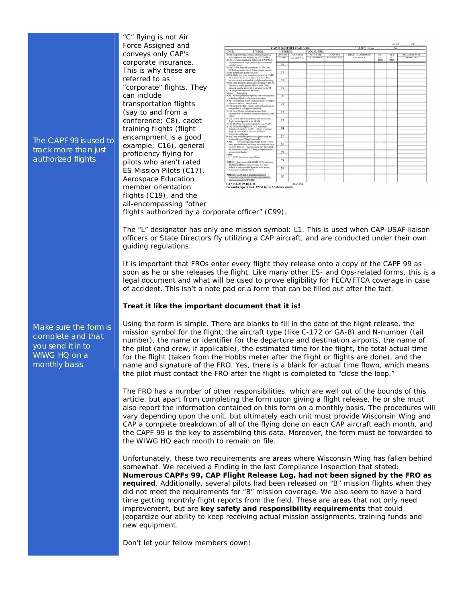conveys only CAP's corporate insurance. This is why these are referred to as "corporate" flights. They can include transportation flights (say to and from a conference; C8), cadet training flights (flight encampment is a good example; C16), general proficiency flying for pilots who aren't rated ES Mission Pilots (C17), Aerospace Education member orientation flights (C19), and the all-encompassing "other

"C" flying is not Air Force Assigned and

|                                                                                                                                                                                                                                                                                                                                                                                                                                                                                                                                                                                                                                                                                                                                                                                                                                                                                                                                                                                                                                                                                                                                                                                                                                                                                                                                                                                                                                                                                                                                                                                                                                                                                                                                                                                                                                                                                                                                                                                                                                                              |                                                                                            |                               | <b>CAP FLIGHT RELEASE LOG</b> |                                |                                 | <b>DATES: From</b>                       |                                  | To                         |                                                  |
|--------------------------------------------------------------------------------------------------------------------------------------------------------------------------------------------------------------------------------------------------------------------------------------------------------------------------------------------------------------------------------------------------------------------------------------------------------------------------------------------------------------------------------------------------------------------------------------------------------------------------------------------------------------------------------------------------------------------------------------------------------------------------------------------------------------------------------------------------------------------------------------------------------------------------------------------------------------------------------------------------------------------------------------------------------------------------------------------------------------------------------------------------------------------------------------------------------------------------------------------------------------------------------------------------------------------------------------------------------------------------------------------------------------------------------------------------------------------------------------------------------------------------------------------------------------------------------------------------------------------------------------------------------------------------------------------------------------------------------------------------------------------------------------------------------------------------------------------------------------------------------------------------------------------------------------------------------------------------------------------------------------------------------------------------------------|--------------------------------------------------------------------------------------------|-------------------------------|-------------------------------|--------------------------------|---------------------------------|------------------------------------------|----------------------------------|----------------------------|--------------------------------------------------|
| <b>UNIT:</b>                                                                                                                                                                                                                                                                                                                                                                                                                                                                                                                                                                                                                                                                                                                                                                                                                                                                                                                                                                                                                                                                                                                                                                                                                                                                                                                                                                                                                                                                                                                                                                                                                                                                                                                                                                                                                                                                                                                                                                                                                                                 | <b>WING</b>                                                                                | <b>REGION</b>                 |                               | <b>LOCAL USE</b>               |                                 |                                          |                                  |                            |                                                  |
| (B14) Support to state, county, and local agression.<br>when apprevant and assigned by AEXOS-HA<br>(B15) CAP cadet orientation flights IAW CAPP 52-7.<br>Cade Orientation Flight Scillabor, inct reimbaried.<br>with AF funds).<br>(B17) CAPPs 5 and 91 evaluations, NCPSC, and<br>PCTs flown under an Air Fueze ressure member<br>(B19) Hernelsed Security Missions<br>(B29) Glider tow plane operations supporting CAPP<br>52-7. Cashy Orientation Flight Sidlaban. This<br>includes non-ecimbrated ferry flights and training<br>(B99) Other missions specifically assigned by the Air<br>Force (e.g. media, public afficial, atc.). This<br>mission must be approved in advance by the AF.<br><b>CAP Corporate Missions Mission</b><br>Syndor! Description<br>(CR) Air transportation flights to and from squadron<br>ur higher official analymners or meetings<br>(CV) Maintenance flights (includes flights in support<br>of assessiv delivery and pickers'<br>(C14) Support to state, county, and local agencies not<br>assigned as an AF approved mission.<br>(C16) Cadet Bights including training, Bight<br>incorporate/sculence, cade exceepments, and<br><b>IACE</b><br>(C17) CAPPs 5 & 91 evaluations and proficiency.<br>Bights not designated as an AFAM<br>(C18) HLS Missions not designated as an AFAM.<br>(C19) Orientation Bights for CAP Aerospace<br>Education Members. (C20) - Glider tow plane.<br>flights for new-USAF reissions (includes<br>ferry/training Bights)<br>(C99) Other missions specifically approved by the<br>National Region Wing Communier<br>(C911) Missins requiring prompt action to are a<br>lives, prevent human suffering, or to mitigate great<br>popperty disminal. These missions may be finded<br>by a customer or the CAP Wing's corporate (non-<br>appropriated) budget<br>Other<br>L1 USAF liaison personnel flying<br>NOTE 1: Does not include FEMA (IE0) missions.<br>Red Citisk (BII) missions, or support to ather<br>federal or national relief agencies with an Air<br>Fence approved MOU (B13). |                                                                                            | <b>LINE NO</b><br><b>DATE</b> | MSN SYM<br>AF MAN NO.         | <b>ACTT TYPE</b><br>"N" NUMBER | <b>DEP POINT</b><br>DESTINATION | <b>PEOL IVAYMMAND</b><br><b>CHEW/PAX</b> | <b>EST</b><br><b>FLY</b><br>TIME | AL'T<br><b>FLY</b><br>TIME | <b><i>BELEASLE NAME</i></b><br><b>SILINATURE</b> |
|                                                                                                                                                                                                                                                                                                                                                                                                                                                                                                                                                                                                                                                                                                                                                                                                                                                                                                                                                                                                                                                                                                                                                                                                                                                                                                                                                                                                                                                                                                                                                                                                                                                                                                                                                                                                                                                                                                                                                                                                                                                              |                                                                                            | 16                            |                               |                                |                                 |                                          |                                  |                            |                                                  |
|                                                                                                                                                                                                                                                                                                                                                                                                                                                                                                                                                                                                                                                                                                                                                                                                                                                                                                                                                                                                                                                                                                                                                                                                                                                                                                                                                                                                                                                                                                                                                                                                                                                                                                                                                                                                                                                                                                                                                                                                                                                              |                                                                                            | 17                            |                               |                                |                                 |                                          |                                  |                            |                                                  |
|                                                                                                                                                                                                                                                                                                                                                                                                                                                                                                                                                                                                                                                                                                                                                                                                                                                                                                                                                                                                                                                                                                                                                                                                                                                                                                                                                                                                                                                                                                                                                                                                                                                                                                                                                                                                                                                                                                                                                                                                                                                              |                                                                                            | 18                            |                               |                                |                                 |                                          |                                  |                            |                                                  |
|                                                                                                                                                                                                                                                                                                                                                                                                                                                                                                                                                                                                                                                                                                                                                                                                                                                                                                                                                                                                                                                                                                                                                                                                                                                                                                                                                                                                                                                                                                                                                                                                                                                                                                                                                                                                                                                                                                                                                                                                                                                              |                                                                                            | 19                            |                               |                                |                                 |                                          |                                  |                            |                                                  |
|                                                                                                                                                                                                                                                                                                                                                                                                                                                                                                                                                                                                                                                                                                                                                                                                                                                                                                                                                                                                                                                                                                                                                                                                                                                                                                                                                                                                                                                                                                                                                                                                                                                                                                                                                                                                                                                                                                                                                                                                                                                              |                                                                                            | 20                            |                               |                                |                                 |                                          |                                  |                            |                                                  |
|                                                                                                                                                                                                                                                                                                                                                                                                                                                                                                                                                                                                                                                                                                                                                                                                                                                                                                                                                                                                                                                                                                                                                                                                                                                                                                                                                                                                                                                                                                                                                                                                                                                                                                                                                                                                                                                                                                                                                                                                                                                              |                                                                                            | 21                            |                               |                                |                                 |                                          |                                  |                            |                                                  |
|                                                                                                                                                                                                                                                                                                                                                                                                                                                                                                                                                                                                                                                                                                                                                                                                                                                                                                                                                                                                                                                                                                                                                                                                                                                                                                                                                                                                                                                                                                                                                                                                                                                                                                                                                                                                                                                                                                                                                                                                                                                              |                                                                                            | 22                            |                               |                                |                                 |                                          |                                  |                            |                                                  |
|                                                                                                                                                                                                                                                                                                                                                                                                                                                                                                                                                                                                                                                                                                                                                                                                                                                                                                                                                                                                                                                                                                                                                                                                                                                                                                                                                                                                                                                                                                                                                                                                                                                                                                                                                                                                                                                                                                                                                                                                                                                              |                                                                                            | 23                            |                               |                                |                                 |                                          |                                  |                            |                                                  |
|                                                                                                                                                                                                                                                                                                                                                                                                                                                                                                                                                                                                                                                                                                                                                                                                                                                                                                                                                                                                                                                                                                                                                                                                                                                                                                                                                                                                                                                                                                                                                                                                                                                                                                                                                                                                                                                                                                                                                                                                                                                              |                                                                                            |                               |                               |                                |                                 |                                          |                                  |                            |                                                  |
|                                                                                                                                                                                                                                                                                                                                                                                                                                                                                                                                                                                                                                                                                                                                                                                                                                                                                                                                                                                                                                                                                                                                                                                                                                                                                                                                                                                                                                                                                                                                                                                                                                                                                                                                                                                                                                                                                                                                                                                                                                                              |                                                                                            | 24                            |                               |                                |                                 |                                          |                                  |                            |                                                  |
|                                                                                                                                                                                                                                                                                                                                                                                                                                                                                                                                                                                                                                                                                                                                                                                                                                                                                                                                                                                                                                                                                                                                                                                                                                                                                                                                                                                                                                                                                                                                                                                                                                                                                                                                                                                                                                                                                                                                                                                                                                                              |                                                                                            | 25                            |                               |                                |                                 |                                          |                                  |                            |                                                  |
|                                                                                                                                                                                                                                                                                                                                                                                                                                                                                                                                                                                                                                                                                                                                                                                                                                                                                                                                                                                                                                                                                                                                                                                                                                                                                                                                                                                                                                                                                                                                                                                                                                                                                                                                                                                                                                                                                                                                                                                                                                                              |                                                                                            | 26                            |                               |                                |                                 |                                          |                                  |                            |                                                  |
|                                                                                                                                                                                                                                                                                                                                                                                                                                                                                                                                                                                                                                                                                                                                                                                                                                                                                                                                                                                                                                                                                                                                                                                                                                                                                                                                                                                                                                                                                                                                                                                                                                                                                                                                                                                                                                                                                                                                                                                                                                                              |                                                                                            | 27                            |                               |                                |                                 |                                          |                                  |                            |                                                  |
|                                                                                                                                                                                                                                                                                                                                                                                                                                                                                                                                                                                                                                                                                                                                                                                                                                                                                                                                                                                                                                                                                                                                                                                                                                                                                                                                                                                                                                                                                                                                                                                                                                                                                                                                                                                                                                                                                                                                                                                                                                                              |                                                                                            | 28                            |                               |                                |                                 |                                          |                                  |                            |                                                  |
|                                                                                                                                                                                                                                                                                                                                                                                                                                                                                                                                                                                                                                                                                                                                                                                                                                                                                                                                                                                                                                                                                                                                                                                                                                                                                                                                                                                                                                                                                                                                                                                                                                                                                                                                                                                                                                                                                                                                                                                                                                                              |                                                                                            | 29                            |                               |                                |                                 |                                          |                                  |                            |                                                  |
| mission request via WMRS.                                                                                                                                                                                                                                                                                                                                                                                                                                                                                                                                                                                                                                                                                                                                                                                                                                                                                                                                                                                                                                                                                                                                                                                                                                                                                                                                                                                                                                                                                                                                                                                                                                                                                                                                                                                                                                                                                                                                                                                                                                    | NOTE 2: CAPR 123-3 inspections are perly<br>authorized as an A2 mission through a training | 30                            |                               |                                |                                 |                                          |                                  |                            |                                                  |

flights authorized by a corporate officer" (C99).

The "L" designator has only one mission symbol: L1. This is used when CAP-USAF liaison officers or State Directors fly utilizing a CAP aircraft, and are conducted under their own guiding regulations.

It is important that FROs enter *every* flight they release onto a copy of the CAPF 99 *as soon as he or she releases the flight*. Like many other ES- and Ops-related forms, this is a legal document and what will be used to prove eligibility for FECA/FTCA coverage in case of accident. This isn't a note pad or a form that can be filled out after the fact.

#### **Treat it like the important document that it is!**

Using the form is simple. There are blanks to fill in the date of the flight release, the mission symbol for the flight, the aircraft type (like C-172 or GA-8) and N-number (tail number), the name or identifier for the departure and destination airports, the name of the pilot (and crew, if applicable), the estimated time for the flight, the total actual time for the flight (taken from the Hobbs meter after the flight or flights are done), and the name and signature of the FRO. Yes, there is a blank for actual time flown, which means the pilot must contact the FRO after the flight is completed to "close the loop."

The FRO has a number of other responsibilities, which are well out of the bounds of this article, but apart from completing the form upon giving a flight release, he or she *must* also report the information contained on this form on a monthly basis. The procedures will vary depending upon the unit, but ultimately each unit *must* provide Wisconsin Wing and CAP a complete breakdown of all of the flying done on each CAP aircraft each month, and the CAPF 99 is the key to assembling this data. Moreover, the form *must* be forwarded to the WIWG HQ each month to remain on file.

Unfortunately, these two requirements are areas where Wisconsin Wing has fallen behind somewhat. We received a Finding in the last Compliance Inspection that stated: **Numerous CAPFs 99,** *CAP Flight Release Log***, had not been signed by the FRO as required**. Additionally, several pilots had been released on "B" mission flights when they did not meet the requirements for "B" mission coverage. We also seem to have a hard time getting monthly flight reports from the field. These are areas that not only need improvement, but are **key safety and responsibility requirements** that could jeopardize our ability to keep receiving actual mission assignments, training funds and new equipment.

Don't let your fellow members down!

The CAPF 99 is used to track more than just authorized flights

Make sure the form is complete and that you send it in to WIWG HQ on a monthly basis